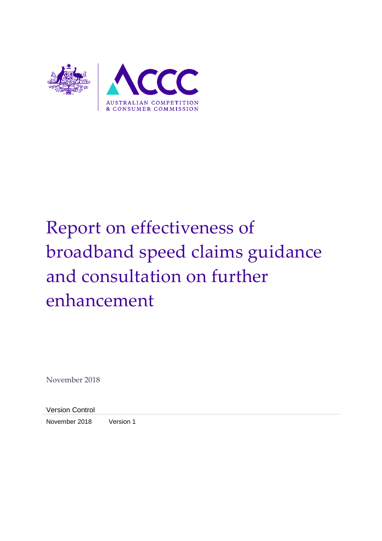

# Report on effectiveness of broadband speed claims guidance and consultation on further enhancement

November 2018

Version Control

November 2018 Version 1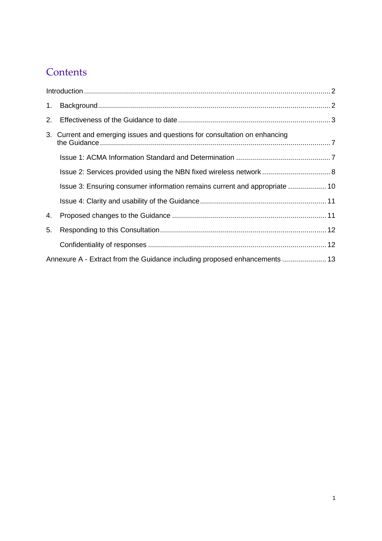## **Contents**

| 1 <sub>1</sub> |                                                                            |  |
|----------------|----------------------------------------------------------------------------|--|
| 2.             |                                                                            |  |
|                | 3. Current and emerging issues and questions for consultation on enhancing |  |
|                |                                                                            |  |
|                | Issue 2: Services provided using the NBN fixed wireless network  8         |  |
|                | Issue 3: Ensuring consumer information remains current and appropriate  10 |  |
|                |                                                                            |  |
| 4.             |                                                                            |  |
| 5.             |                                                                            |  |
|                |                                                                            |  |
|                | Annexure A - Extract from the Guidance including proposed enhancements  13 |  |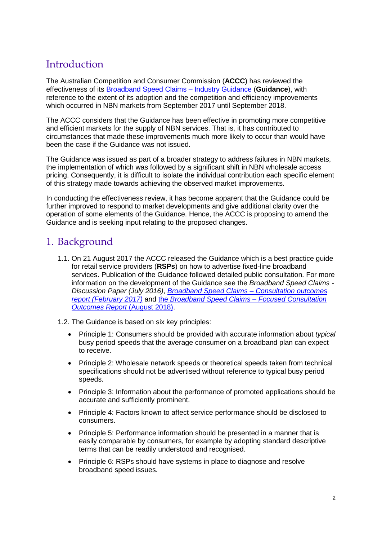### <span id="page-2-0"></span>**Introduction**

The Australian Competition and Consumer Commission (**ACCC**) has reviewed the effectiveness of its [Broadband Speed Claims –](https://www.accc.gov.au/publications/broadband-speed-claims-industry-guidance) Industry Guidance (**Guidance**), with reference to the extent of its adoption and the competition and efficiency improvements which occurred in NBN markets from September 2017 until September 2018.

The ACCC considers that the Guidance has been effective in promoting more competitive and efficient markets for the supply of NBN services. That is, it has contributed to circumstances that made these improvements much more likely to occur than would have been the case if the Guidance was not issued.

The Guidance was issued as part of a broader strategy to address failures in NBN markets, the implementation of which was followed by a significant shift in NBN wholesale access pricing. Consequently, it is difficult to isolate the individual contribution each specific element of this strategy made towards achieving the observed market improvements.

In conducting the effectiveness review, it has become apparent that the Guidance could be further improved to respond to market developments and give additional clarity over the operation of some elements of the Guidance. Hence, the ACCC is proposing to amend the Guidance and is seeking input relating to the proposed changes.

### <span id="page-2-1"></span>1. Background

- 1.1. On 21 August 2017 the ACCC released the Guidance which is a best practice guide for retail service providers (**RSPs**) on how to advertise fixed-line broadband services. Publication of the Guidance followed detailed public consultation. For more information on the development of the Guidance see the *[Broadband Speed Claims -](https://consultation.accc.gov.au/communications-1/consultation-on-broadband-speed-claims/) [Discussion Paper \(July 2016\)](https://consultation.accc.gov.au/communications-1/consultation-on-broadband-speed-claims/)*, *[Broadband Speed Claims –](https://www.accc.gov.au/regulated-infrastructure/communications/compliance-anti-competitive-conduct/broadband-speed-claims-information-papers/consultation-outcomes) Consultation outcomes [report \(February 2017\)](https://www.accc.gov.au/regulated-infrastructure/communications/compliance-anti-competitive-conduct/broadband-speed-claims-information-papers/consultation-outcomes)* and the *[Broadband Speed Claims –](https://www.accc.gov.au/regulated-infrastructure/communications/compliance-anti-competitive-conduct/broadband-speed-claims-information-papers/industry-guidance) Focused Consultation [Outcomes Report](https://www.accc.gov.au/regulated-infrastructure/communications/compliance-anti-competitive-conduct/broadband-speed-claims-information-papers/industry-guidance)* (August 2018).
- 1.2. The Guidance is based on six key principles:
	- Principle 1: Consumers should be provided with accurate information about *typical* busy period speeds that the average consumer on a broadband plan can expect to receive.
	- Principle 2: Wholesale network speeds or theoretical speeds taken from technical specifications should not be advertised without reference to typical busy period speeds.
	- Principle 3: Information about the performance of promoted applications should be accurate and sufficiently prominent.
	- Principle 4: Factors known to affect service performance should be disclosed to consumers.
	- Principle 5: Performance information should be presented in a manner that is easily comparable by consumers, for example by adopting standard descriptive terms that can be readily understood and recognised.
	- Principle 6: RSPs should have systems in place to diagnose and resolve broadband speed issues.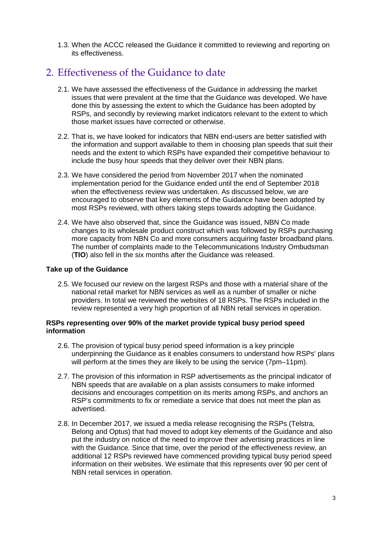1.3. When the ACCC released the Guidance it committed to reviewing and reporting on its effectiveness.

### <span id="page-3-0"></span>2. Effectiveness of the Guidance to date

- 2.1. We have assessed the effectiveness of the Guidance in addressing the market issues that were prevalent at the time that the Guidance was developed. We have done this by assessing the extent to which the Guidance has been adopted by RSPs, and secondly by reviewing market indicators relevant to the extent to which those market issues have corrected or otherwise.
- 2.2. That is, we have looked for indicators that NBN end-users are better satisfied with the information and support available to them in choosing plan speeds that suit their needs and the extent to which RSPs have expanded their competitive behaviour to include the busy hour speeds that they deliver over their NBN plans.
- 2.3. We have considered the period from November 2017 when the nominated implementation period for the Guidance ended until the end of September 2018 when the effectiveness review was undertaken. As discussed below, we are encouraged to observe that key elements of the Guidance have been adopted by most RSPs reviewed, with others taking steps towards adopting the Guidance.
- 2.4. We have also observed that, since the Guidance was issued, NBN Co made changes to its wholesale product construct which was followed by RSPs purchasing more capacity from NBN Co and more consumers acquiring faster broadband plans. The number of complaints made to the Telecommunications Industry Ombudsman (**TIO**) also fell in the six months after the Guidance was released.

#### **Take up of the Guidance**

2.5. We focused our review on the largest RSPs and those with a material share of the national retail market for NBN services as well as a number of smaller or niche providers. In total we reviewed the websites of 18 RSPs. The RSPs included in the review represented a very high proportion of all NBN retail services in operation.

#### **RSPs representing over 90% of the market provide typical busy period speed information**

- 2.6. The provision of typical busy period speed information is a key principle underpinning the Guidance as it enables consumers to understand how RSPs' plans will perform at the times they are likely to be using the service (7pm–11pm).
- 2.7. The provision of this information in RSP advertisements as the principal indicator of NBN speeds that are available on a plan assists consumers to make informed decisions and encourages competition on its merits among RSPs, and anchors an RSP's commitments to fix or remediate a service that does not meet the plan as advertised.
- 2.8. In December 2017, we issued a media release recognising the RSPs (Telstra, Belong and Optus) that had moved to adopt key elements of the Guidance and also put the industry on notice of the need to improve their advertising practices in line with the Guidance. Since that time, over the period of the effectiveness review, an additional 12 RSPs reviewed have commenced providing typical busy period speed information on their websites. We estimate that this represents over 90 per cent of NBN retail services in operation.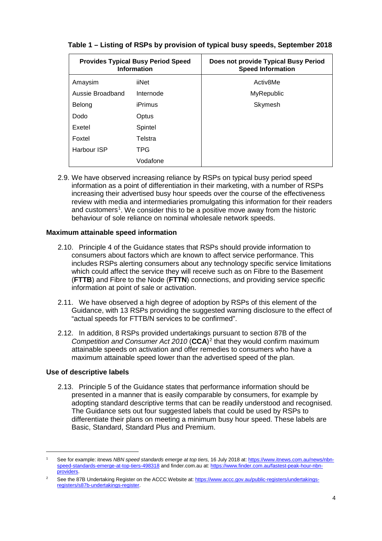| <b>Provides Typical Busy Period Speed</b><br><b>Information</b> |           | Does not provide Typical Busy Period<br><b>Speed Information</b> |
|-----------------------------------------------------------------|-----------|------------------------------------------------------------------|
| Amaysim                                                         | iiNet     | Activ8Me                                                         |
| Aussie Broadband                                                | Internode | <b>MyRepublic</b>                                                |
| Belong                                                          | iPrimus   | Skymesh                                                          |
| Dodo                                                            | Optus     |                                                                  |
| Exetel                                                          | Spintel   |                                                                  |
| Foxtel                                                          | Telstra   |                                                                  |
| Harbour ISP                                                     | TPG       |                                                                  |
|                                                                 | Vodafone  |                                                                  |

#### **Table 1 – Listing of RSPs by provision of typical busy speeds, September 2018**

2.9. We have observed increasing reliance by RSPs on typical busy period speed information as a point of differentiation in their marketing, with a number of RSPs increasing their advertised busy hour speeds over the course of the effectiveness review with media and intermediaries promulgating this information for their readers and customers<sup>[1](#page-4-0)</sup>. We consider this to be a positive move away from the historic behaviour of sole reliance on nominal wholesale network speeds.

#### **Maximum attainable speed information**

- 2.10. Principle 4 of the Guidance states that RSPs should provide information to consumers about factors which are known to affect service performance. This includes RSPs alerting consumers about any technology specific service limitations which could affect the service they will receive such as on Fibre to the Basement (**FTTB**) and Fibre to the Node (**FTTN**) connections, and providing service specific information at point of sale or activation.
- 2.11. We have observed a high degree of adoption by RSPs of this element of the Guidance, with 13 RSPs providing the suggested warning disclosure to the effect of "actual speeds for FTTB/N services to be confirmed".
- 2.12. In addition, 8 RSPs provided undertakings pursuant to section 87B of the *Competition and Consumer Act [2](#page-4-1)010* (CCA)<sup>2</sup> that they would confirm maximum attainable speeds on activation and offer remedies to consumers who have a maximum attainable speed lower than the advertised speed of the plan.

#### **Use of descriptive labels**

2.13. Principle 5 of the Guidance states that performance information should be presented in a manner that is easily comparable by consumers, for example by adopting standard descriptive terms that can be readily understood and recognised. The Guidance sets out four suggested labels that could be used by RSPs to differentiate their plans on meeting a minimum busy hour speed. These labels are Basic, Standard, Standard Plus and Premium.

<span id="page-4-0"></span> <sup>1</sup> See for example: itnews *NBN speed standards emerge at top tiers,* 16 July 2018 at: [https://www.itnews.com.au/news/nbn](https://www.itnews.com.au/news/nbn-speed-standards-emerge-at-top-tiers-498318)[speed-standards-emerge-at-top-tiers-498318](https://www.itnews.com.au/news/nbn-speed-standards-emerge-at-top-tiers-498318) and finder.com.au at[: https://www.finder.com.au/fastest-peak-hour-nbn](https://www.finder.com.au/fastest-peak-hour-nbn-providers)[providers.](https://www.finder.com.au/fastest-peak-hour-nbn-providers)

<span id="page-4-1"></span>See the 87B Undertaking Register on the ACCC Website at[: https://www.accc.gov.au/public-registers/undertakings](https://www.accc.gov.au/public-registers/undertakings-registers/s87b-undertakings-register)[registers/s87b-undertakings-register.](https://www.accc.gov.au/public-registers/undertakings-registers/s87b-undertakings-register)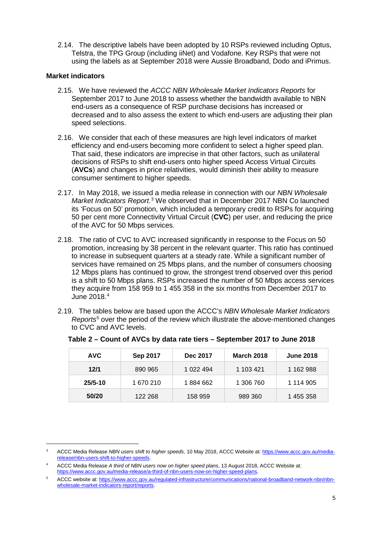2.14. The descriptive labels have been adopted by 10 RSPs reviewed including Optus, Telstra, the TPG Group (including iiNet) and Vodafone. Key RSPs that were not using the labels as at September 2018 were Aussie Broadband, Dodo and iPrimus.

#### **Market indicators**

- 2.15. We have reviewed the *ACCC NBN Wholesale Market Indicators Reports* for September 2017 to June 2018 to assess whether the bandwidth available to NBN end-users as a consequence of RSP purchase decisions has increased or decreased and to also assess the extent to which end-users are adjusting their plan speed selections.
- 2.16. We consider that each of these measures are high level indicators of market efficiency and end-users becoming more confident to select a higher speed plan. That said, these indicators are imprecise in that other factors, such as unilateral decisions of RSPs to shift end-users onto higher speed Access Virtual Circuits (**AVCs**) and changes in price relativities, would diminish their ability to measure consumer sentiment to higher speeds.
- 2.17. In May 2018, we issued a media release in connection with our *[NBN Wholesale](https://www.accc.gov.au/regulated-infrastructure/communications/national-broadband-network-nbn/nbn-wholesale-market-indicators-report/reports)  [Market Indicators](https://www.accc.gov.au/regulated-infrastructure/communications/national-broadband-network-nbn/nbn-wholesale-market-indicators-report/reports) Report*. [3](#page-5-0) We observed that in December 2017 NBN Co launched its 'Focus on 50' promotion, which included a temporary credit to RSPs for acquiring 50 per cent more Connectivity Virtual Circuit (**CVC**) per user, and reducing the price of the AVC for 50 Mbps services.
- 2.18. The ratio of CVC to AVC increased significantly in response to the Focus on 50 promotion, increasing by 38 percent in the relevant quarter. This ratio has continued to increase in subsequent quarters at a steady rate. While a significant number of services have remained on 25 Mbps plans, and the number of consumers choosing 12 Mbps plans has continued to grow, the strongest trend observed over this period is a shift to 50 Mbps plans. RSPs increased the number of 50 Mbps access services they acquire from 158 959 to 1 455 358 in the six months from December 2017 to June 2018. [4](#page-5-1)
- 2.19. The tables below are based upon the ACCC's *NBN Wholesale Market Indicators Reports*[5](#page-5-2) over the period of the review which illustrate the above-mentioned changes to CVC and AVC levels.

| <b>AVC</b>  | Sep 2017  | Dec 2017  | <b>March 2018</b> | <b>June 2018</b> |
|-------------|-----------|-----------|-------------------|------------------|
| 12/1        | 890 965   | 1 022 494 | 1 103 421         | 1 162 988        |
| $25/5 - 10$ | 1 670 210 | 1884662   | 1 306 760         | 1 114 905        |
| 50/20       | 122 268   | 158 959   | 989 360           | 1 455 358        |

| Table 2 – Count of AVCs by data rate tiers – September 2017 to June 2018 |  |  |  |
|--------------------------------------------------------------------------|--|--|--|
|--------------------------------------------------------------------------|--|--|--|

<span id="page-5-0"></span> <sup>3</sup> ACCC Media Release *NBN users shift to higher speeds*, 10 May 2018, ACCC Website at[: https://www.accc.gov.au/media](https://www.accc.gov.au/media-release/nbn-users-shift-to-higher-speeds)[release/nbn-users-shift-to-higher-speeds.](https://www.accc.gov.au/media-release/nbn-users-shift-to-higher-speeds)

<span id="page-5-1"></span><sup>4</sup> ACCC Media Release *A third of NBN users now on higher speed plans*, 13 August 2018, ACCC Website at: [https://www.accc.gov.au/media-release/a-third-of-nbn-users-now-on-higher-speed-plans.](https://www.accc.gov.au/media-release/a-third-of-nbn-users-now-on-higher-speed-plans)

<span id="page-5-2"></span><sup>5</sup> ACCC website at[: https://www.accc.gov.au/regulated-infrastructure/communications/national-broadband-network-nbn/nbn](https://www.accc.gov.au/regulated-infrastructure/communications/national-broadband-network-nbn/nbn-wholesale-market-indicators-report/reports)[wholesale-market-indicators-report/reports.](https://www.accc.gov.au/regulated-infrastructure/communications/national-broadband-network-nbn/nbn-wholesale-market-indicators-report/reports)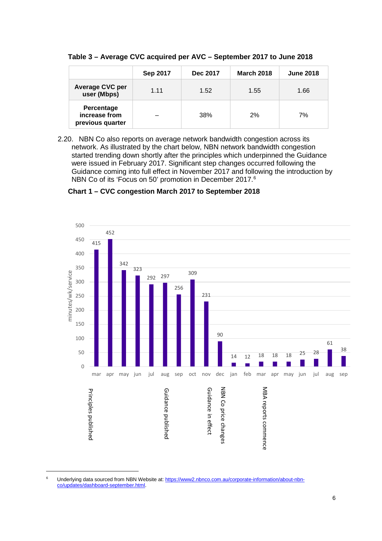**Table 3 – Average CVC acquired per AVC – September 2017 to June 2018**

|                                                 | Sep 2017 | Dec 2017 | <b>March 2018</b> | <b>June 2018</b> |
|-------------------------------------------------|----------|----------|-------------------|------------------|
| <b>Average CVC per</b><br>user (Mbps)           | 1 1 1    | 1.52     | 1.55              | 1.66             |
| Percentage<br>increase from<br>previous quarter |          | 38%      | 2%                | 7%               |

2.20. NBN Co also reports on average network bandwidth congestion across its network. As illustrated by the chart below, NBN network bandwidth congestion started trending down shortly after the principles which underpinned the Guidance were issued in February 2017. Significant step changes occurred following the Guidance coming into full effect in November 2017 and following the introduction by NBN Co of its 'Focus on 50' promotion in December 2017.<sup>[6](#page-6-0)</sup>

**Chart 1 – CVC congestion March 2017 to September 2018** 



<span id="page-6-0"></span><sup>&</sup>lt;sup>6</sup> Underlying data sourced from NBN Website at[: https://www2.nbnco.com.au/corporate-information/about-nbn](https://www2.nbnco.com.au/corporate-information/about-nbn-co/updates/dashboard-september.html)[co/updates/dashboard-september.html.](https://www2.nbnco.com.au/corporate-information/about-nbn-co/updates/dashboard-september.html)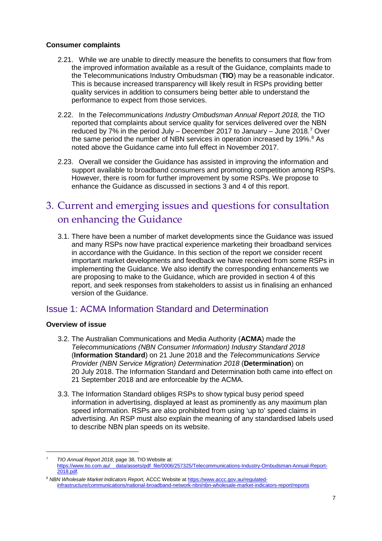#### **Consumer complaints**

- 2.21. While we are unable to directly measure the benefits to consumers that flow from the improved information available as a result of the Guidance, complaints made to the Telecommunications Industry Ombudsman (**TIO**) may be a reasonable indicator. This is because increased transparency will likely result in RSPs providing better quality services in addition to consumers being better able to understand the performance to expect from those services.
- 2.22. In the *Telecommunications Industry Ombudsman Annual Report 2018,* the TIO reported that complaints about service quality for services delivered over the NBN reduced by 7% in the period July – December 2017 to January – June 2018. [7](#page-7-2) Over the same period the number of NBN services in operation increased by 19%. [8](#page-7-3) As noted above the Guidance came into full effect in November 2017.
- 2.23. Overall we consider the Guidance has assisted in improving the information and support available to broadband consumers and promoting competition among RSPs. However, there is room for further improvement by some RSPs. We propose to enhance the Guidance as discussed in sections 3 and 4 of this report.

### <span id="page-7-0"></span>3. Current and emerging issues and questions for consultation on enhancing the Guidance

3.1. There have been a number of market developments since the Guidance was issued and many RSPs now have practical experience marketing their broadband services in accordance with the Guidance. In this section of the report we consider recent important market developments and feedback we have received from some RSPs in implementing the Guidance. We also identify the corresponding enhancements we are proposing to make to the Guidance, which are provided in section 4 of this report, and seek responses from stakeholders to assist us in finalising an enhanced version of the Guidance.

#### <span id="page-7-1"></span>Issue 1: ACMA Information Standard and Determination

#### **Overview of issue**

- 3.2. The Australian Communications and Media Authority (**ACMA**) made the *Telecommunications (NBN Consumer Information) Industry Standard 2018* (**Information Standard**) on 21 June 2018 and the *Telecommunications Service Provider (NBN Service Migration) Determination 2018* (**Determination**) on 20 July 2018. The Information Standard and Determination both came into effect on 21 September 2018 and are enforceable by the ACMA.
- 3.3. The Information Standard obliges RSPs to show typical busy period speed information in advertising, displayed at least as prominently as any maximum plan speed information. RSPs are also prohibited from using 'up to' speed claims in advertising. An RSP must also explain the meaning of any standardised labels used to describe NBN plan speeds on its website.

<span id="page-7-2"></span> <sup>7</sup> *TIO Annual Report 2018*, page 38, TIO Website at: https://www.tio.com/particle/0006/257325/Telecommunications-Industry-Ombudsman-Annual-Report-[2018.pdf.](https://www.tio.com.au/__data/assets/pdf_file/0006/257325/Telecommunications-Industry-Ombudsman-Annual-Report-2018.pdf)

<span id="page-7-3"></span><sup>&</sup>lt;sup>8</sup> NBN Wholesale Market Indicators Report, ACCC Website a[t https://www.accc.gov.au/regulated](https://www.accc.gov.au/regulated-infrastructure/communications/national-broadband-network-nbn/nbn-wholesale-market-indicators-report/reports)[infrastructure/communications/national-broadband-network-nbn/nbn-wholesale-market-indicators-report/reports](https://www.accc.gov.au/regulated-infrastructure/communications/national-broadband-network-nbn/nbn-wholesale-market-indicators-report/reports)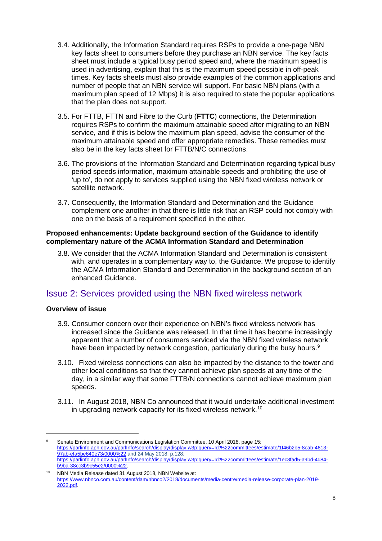- 3.4. Additionally, the Information Standard requires RSPs to provide a one-page NBN key facts sheet to consumers before they purchase an NBN service. The key facts sheet must include a typical busy period speed and, where the maximum speed is used in advertising, explain that this is the maximum speed possible in off-peak times. Key facts sheets must also provide examples of the common applications and number of people that an NBN service will support. For basic NBN plans (with a maximum plan speed of 12 Mbps) it is also required to state the popular applications that the plan does not support.
- 3.5. For FTTB, FTTN and Fibre to the Curb (**FTTC**) connections, the Determination requires RSPs to confirm the maximum attainable speed after migrating to an NBN service, and if this is below the maximum plan speed, advise the consumer of the maximum attainable speed and offer appropriate remedies. These remedies must also be in the key facts sheet for FTTB/N/C connections.
- 3.6. The provisions of the Information Standard and Determination regarding typical busy period speeds information, maximum attainable speeds and prohibiting the use of 'up to', do not apply to services supplied using the NBN fixed wireless network or satellite network.
- 3.7. Consequently, the Information Standard and Determination and the Guidance complement one another in that there is little risk that an RSP could not comply with one on the basis of a requirement specified in the other.

#### **Proposed enhancements: Update background section of the Guidance to identify complementary nature of the ACMA Information Standard and Determination**

3.8. We consider that the ACMA Information Standard and Determination is consistent with, and operates in a complementary way to, the Guidance. We propose to identify the ACMA Information Standard and Determination in the background section of an enhanced Guidance.

#### <span id="page-8-0"></span>Issue 2: Services provided using the NBN fixed wireless network

#### **Overview of issue**

- 3.9. Consumer concern over their experience on NBN's fixed wireless network has increased since the Guidance was released. In that time it has become increasingly apparent that a number of consumers serviced via the NBN fixed wireless network have been impacted by network congestion, particularly during the busy hours.<sup>[9](#page-8-1)</sup>
- 3.10. Fixed wireless connections can also be impacted by the distance to the tower and other local conditions so that they cannot achieve plan speeds at any time of the day, in a similar way that some FTTB/N connections cannot achieve maximum plan speeds.
- 3.11. In August 2018, NBN Co announced that it would undertake additional investment in upgrading network capacity for its fixed wireless network.<sup>[10](#page-8-2)</sup>

<span id="page-8-1"></span><sup>9</sup> Senate Environment and Communications Legislation Committee, 10 April 2018, page 15: [https://parlinfo.aph.gov.au/parlInfo/search/display/display.w3p;query=Id:%22committees/estimate/1f46b2b5-8cab-4613-](https://parlinfo.aph.gov.au/parlInfo/search/display/display.w3p;query=Id:%22committees/estimate/1f46b2b5-8cab-4613-97ab-efa5be640e73/0000%22) [97ab-efa5be640e73/0000%22](https://parlinfo.aph.gov.au/parlInfo/search/display/display.w3p;query=Id:%22committees/estimate/1f46b2b5-8cab-4613-97ab-efa5be640e73/0000%22) and 24 May 2018, p.128: [https://parlinfo.aph.gov.au/parlInfo/search/display/display.w3p;query=Id:%22committees/estimate/1ec8fad5-a9bd-4d84](https://parlinfo.aph.gov.au/parlInfo/search/display/display.w3p;query=Id:%22committees/estimate/1ec8fad5-a9bd-4d84-b9ba-38cc3b9c55e2/0000%22) [b9ba-38cc3b9c55e2/0000%22.](https://parlinfo.aph.gov.au/parlInfo/search/display/display.w3p;query=Id:%22committees/estimate/1ec8fad5-a9bd-4d84-b9ba-38cc3b9c55e2/0000%22)

<span id="page-8-2"></span>NBN Media Release dated 31 August 2018, NBN Website at: [https://www.nbnco.com.au/content/dam/nbnco2/2018/documents/media-centre/media-release-corporate-plan-2019-](https://www.nbnco.com.au/content/dam/nbnco2/2018/documents/media-centre/media-release-corporate-plan-2019-2022.pdf) [2022.pdf.](https://www.nbnco.com.au/content/dam/nbnco2/2018/documents/media-centre/media-release-corporate-plan-2019-2022.pdf)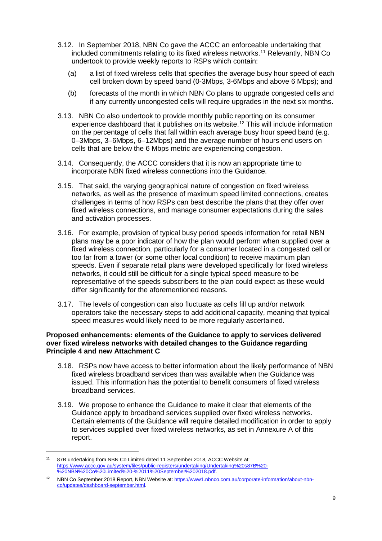- 3.12. In September 2018, NBN Co gave the ACCC an enforceable undertaking that included commitments relating to its fixed wireless networks.[11](#page-9-0) Relevantly, NBN Co undertook to provide weekly reports to RSPs which contain:
	- (a) a list of fixed wireless cells that specifies the average busy hour speed of each cell broken down by speed band (0-3Mbps, 3-6Mbps and above 6 Mbps); and
	- (b) forecasts of the month in which NBN Co plans to upgrade congested cells and if any currently uncongested cells will require upgrades in the next six months.
- 3.13. NBN Co also undertook to provide monthly public reporting on its consumer experience dashboard that it publishes on its website. [12](#page-9-1) This will include information on the percentage of cells that fall within each average busy hour speed band (e.g. 0–3Mbps, 3–6Mbps, 6–12Mbps) and the average number of hours end users on cells that are below the 6 Mbps metric are experiencing congestion.
- 3.14. Consequently, the ACCC considers that it is now an appropriate time to incorporate NBN fixed wireless connections into the Guidance.
- 3.15. That said, the varying geographical nature of congestion on fixed wireless networks, as well as the presence of maximum speed limited connections, creates challenges in terms of how RSPs can best describe the plans that they offer over fixed wireless connections, and manage consumer expectations during the sales and activation processes.
- 3.16. For example, provision of typical busy period speeds information for retail NBN plans may be a poor indicator of how the plan would perform when supplied over a fixed wireless connection, particularly for a consumer located in a congested cell or too far from a tower (or some other local condition) to receive maximum plan speeds. Even if separate retail plans were developed specifically for fixed wireless networks, it could still be difficult for a single typical speed measure to be representative of the speeds subscribers to the plan could expect as these would differ significantly for the aforementioned reasons.
- 3.17. The levels of congestion can also fluctuate as cells fill up and/or network operators take the necessary steps to add additional capacity, meaning that typical speed measures would likely need to be more regularly ascertained.

#### **Proposed enhancements: elements of the Guidance to apply to services delivered over fixed wireless networks with detailed changes to the Guidance regarding Principle 4 and new Attachment C**

- 3.18. RSPs now have access to better information about the likely performance of NBN fixed wireless broadband services than was available when the Guidance was issued. This information has the potential to benefit consumers of fixed wireless broadband services.
- 3.19. We propose to enhance the Guidance to make it clear that elements of the Guidance apply to broadband services supplied over fixed wireless networks. Certain elements of the Guidance will require detailed modification in order to apply to services supplied over fixed wireless networks, as set in Annexure A of this report.

<span id="page-9-0"></span><sup>11 87</sup>B undertaking from NBN Co Limited dated 11 September 2018, ACCC Website at: [https://www.accc.gov.au/system/files/public-registers/undertaking/Undertaking%20s87B%20-](https://www.accc.gov.au/system/files/public-registers/undertaking/Undertaking%20s87B%20-%20NBN%20Co%20Limited%20-%2011%20September%202018.pdf) [%20NBN%20Co%20Limited%20-%2011%20September%202018.pdf.](https://www.accc.gov.au/system/files/public-registers/undertaking/Undertaking%20s87B%20-%20NBN%20Co%20Limited%20-%2011%20September%202018.pdf)

<span id="page-9-1"></span><sup>12</sup> NBN Co September 2018 Report, NBN Website at[: https://www1.nbnco.com.au/corporate-information/about-nbn](https://www1.nbnco.com.au/corporate-information/about-nbn-co/updates/dashboard-september.html)[co/updates/dashboard-september.html.](https://www1.nbnco.com.au/corporate-information/about-nbn-co/updates/dashboard-september.html)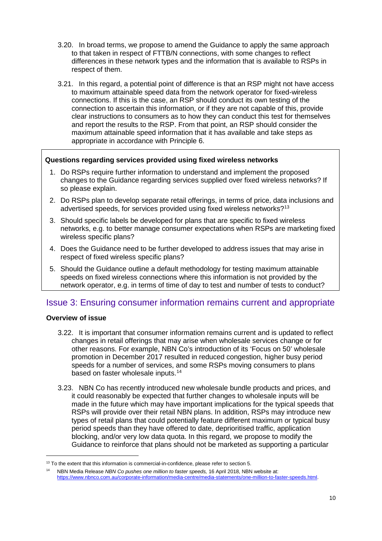- 3.20. In broad terms, we propose to amend the Guidance to apply the same approach to that taken in respect of FTTB/N connections, with some changes to reflect differences in these network types and the information that is available to RSPs in respect of them.
- 3.21. In this regard, a potential point of difference is that an RSP might not have access to maximum attainable speed data from the network operator for fixed-wireless connections. If this is the case, an RSP should conduct its own testing of the connection to ascertain this information, or if they are not capable of this, provide clear instructions to consumers as to how they can conduct this test for themselves and report the results to the RSP. From that point, an RSP should consider the maximum attainable speed information that it has available and take steps as appropriate in accordance with Principle 6.

#### **Questions regarding services provided using fixed wireless networks**

- 1. Do RSPs require further information to understand and implement the proposed changes to the Guidance regarding services supplied over fixed wireless networks? If so please explain.
- 2. Do RSPs plan to develop separate retail offerings, in terms of price, data inclusions and advertised speeds, for services provided using fixed wireless networks?<sup>13</sup>
- 3. Should specific labels be developed for plans that are specific to fixed wireless networks, e.g. to better manage consumer expectations when RSPs are marketing fixed wireless specific plans?
- 4. Does the Guidance need to be further developed to address issues that may arise in respect of fixed wireless specific plans?
- 5. Should the Guidance outline a default methodology for testing maximum attainable speeds on fixed wireless connections where this information is not provided by the network operator, e.g. in terms of time of day to test and number of tests to conduct?

#### <span id="page-10-0"></span>Issue 3: Ensuring consumer information remains current and appropriate

#### **Overview of issue**

- 3.22. It is important that consumer information remains current and is updated to reflect changes in retail offerings that may arise when wholesale services change or for other reasons. For example, NBN Co's introduction of its 'Focus on 50' wholesale promotion in December 2017 resulted in reduced congestion, higher busy period speeds for a number of services, and some RSPs moving consumers to plans based on faster wholesale inputs. [14](#page-10-2)
- 3.23. NBN Co has recently introduced new wholesale bundle products and prices, and it could reasonably be expected that further changes to wholesale inputs will be made in the future which may have important implications for the typical speeds that RSPs will provide over their retail NBN plans. In addition, RSPs may introduce new types of retail plans that could potentially feature different maximum or typical busy period speeds than they have offered to date, deprioritised traffic, application blocking, and/or very low data quota. In this regard, we propose to modify the Guidance to reinforce that plans should not be marketed as supporting a particular

<span id="page-10-1"></span> $13$  To the extent that this information is commercial-in-confidence, please refer to section 5.

<span id="page-10-2"></span><sup>14</sup> NBN Media Release *NBN Co pushes one million to faster speeds,* 16 April 2018, NBN website at: [https://www.nbnco.com.au/corporate-information/media-centre/media-statements/one-million-to-faster-speeds.html.](https://www.nbnco.com.au/corporate-information/media-centre/media-statements/one-million-to-faster-speeds.html)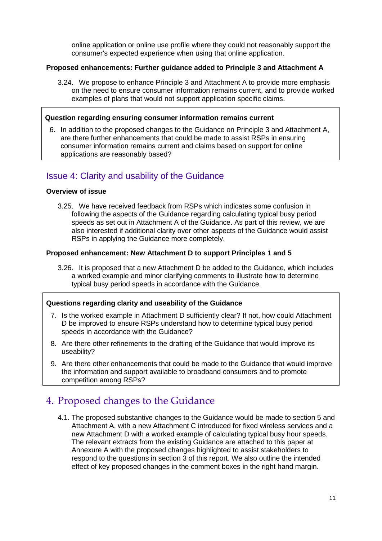online application or online use profile where they could not reasonably support the consumer's expected experience when using that online application.

#### **Proposed enhancements: Further guidance added to Principle 3 and Attachment A**

3.24. We propose to enhance Principle 3 and Attachment A to provide more emphasis on the need to ensure consumer information remains current, and to provide worked examples of plans that would not support application specific claims.

#### **Question regarding ensuring consumer information remains current**

6. In addition to the proposed changes to the Guidance on Principle 3 and Attachment A, are there further enhancements that could be made to assist RSPs in ensuring consumer information remains current and claims based on support for online applications are reasonably based?

#### <span id="page-11-0"></span>Issue 4: Clarity and usability of the Guidance

#### **Overview of issue**

3.25. We have received feedback from RSPs which indicates some confusion in following the aspects of the Guidance regarding calculating typical busy period speeds as set out in Attachment A of the Guidance. As part of this review, we are also interested if additional clarity over other aspects of the Guidance would assist RSPs in applying the Guidance more completely.

#### **Proposed enhancement: New Attachment D to support Principles 1 and 5**

3.26. It is proposed that a new Attachment D be added to the Guidance, which includes a worked example and minor clarifying comments to illustrate how to determine typical busy period speeds in accordance with the Guidance.

#### **Questions regarding clarity and useability of the Guidance**

- 7. Is the worked example in Attachment D sufficiently clear? If not, how could Attachment D be improved to ensure RSPs understand how to determine typical busy period speeds in accordance with the Guidance?
- 8. Are there other refinements to the drafting of the Guidance that would improve its useability?
- 9. Are there other enhancements that could be made to the Guidance that would improve the information and support available to broadband consumers and to promote competition among RSPs?

### <span id="page-11-1"></span>4. Proposed changes to the Guidance

4.1. The proposed substantive changes to the Guidance would be made to section 5 and Attachment A, with a new Attachment C introduced for fixed wireless services and a new Attachment D with a worked example of calculating typical busy hour speeds. The relevant extracts from the existing Guidance are attached to this paper at Annexure A with the proposed changes highlighted to assist stakeholders to respond to the questions in section 3 of this report. We also outline the intended effect of key proposed changes in the comment boxes in the right hand margin.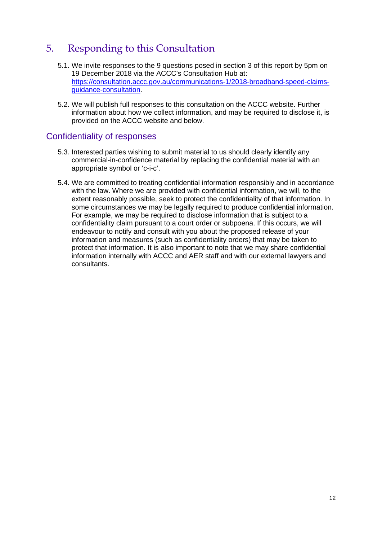### <span id="page-12-0"></span>5. Responding to this Consultation

- 5.1. We invite responses to the 9 questions posed in section 3 of this report by 5pm on 19 December 2018 via the ACCC's Consultation Hub at: [https://consultation.accc.gov.au/communications-1/2018-broadband-speed-claims](https://consultation.accc.gov.au/communications-1/2018-broadband-speed-claims-guidance-consultation)[guidance-consultation.](https://consultation.accc.gov.au/communications-1/2018-broadband-speed-claims-guidance-consultation)
- 5.2. We will publish full responses to this consultation on the ACCC website. Further information about how we collect information, and may be required to disclose it, is provided on the [ACCC website](https://www.accc.gov.au/publications/accc-aer-information-policy-collection-and-disclosure-of-information) and below.

#### <span id="page-12-1"></span>Confidentiality of responses

- 5.3. Interested parties wishing to submit material to us should clearly identify any commercial-in-confidence material by replacing the confidential material with an appropriate symbol or 'c-i-c'.
- 5.4. We are committed to treating confidential information responsibly and in accordance with the law. Where we are provided with confidential information, we will, to the extent reasonably possible, seek to protect the confidentiality of that information. In some circumstances we may be legally required to produce confidential information. For example, we may be required to disclose information that is subject to a confidentiality claim pursuant to a court order or subpoena. If this occurs, we will endeavour to notify and consult with you about the proposed release of your information and measures (such as confidentiality orders) that may be taken to protect that information. It is also important to note that we may share confidential information internally with ACCC and AER staff and with our external lawyers and consultants.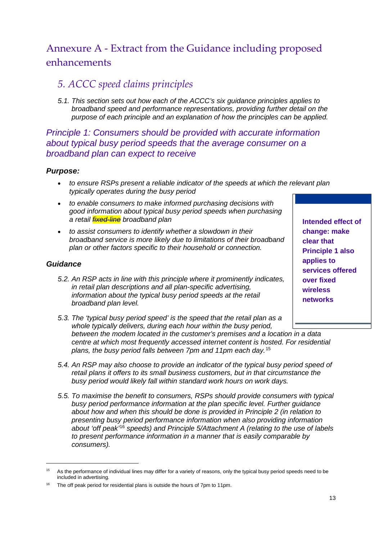### <span id="page-13-0"></span>Annexure A - Extract from the Guidance including proposed enhancements

### *5. ACCC speed claims principles*

*5.1. This section sets out how each of the ACCC's six guidance principles applies to broadband speed and performance representations, providing further detail on the purpose of each principle and an explanation of how the principles can be applied.* 

### *Principle 1: Consumers should be provided with accurate information about typical busy period speeds that the average consumer on a broadband plan can expect to receive*

#### *Purpose:*

- *to ensure RSPs present a reliable indicator of the speeds at which the relevant plan typically operates during the busy period*
- *to enable consumers to make informed purchasing decisions with good information about typical busy period speeds when purchasing a retail fixed-line broadband plan*
- *to assist consumers to identify whether a slowdown in their broadband service is more likely due to limitations of their broadband plan or other factors specific to their household or connection.*

#### *Guidance*

- *5.2. An RSP acts in line with this principle where it prominently indicates, in retail plan descriptions and all plan-specific advertising, information about the typical busy period speeds at the retail broadband plan level.*
- **change: make clear that Principle 1 also applies to services offered over fixed wireless networks**

**Intended effect of** 

- *5.3. The 'typical busy period speed' is the speed that the retail plan as a whole typically delivers, during each hour within the busy period, between the modem located in the customer's premises and a location in a data centre at which most frequently accessed internet content is hosted. For residential plans, the busy period falls between 7pm and 11pm each day.*[15](#page-13-1)
- *5.4. An RSP may also choose to provide an indicator of the typical busy period speed of retail plans it offers to its small business customers, but in that circumstance the busy period would likely fall within standard work hours on work days.*
- *5.5. To maximise the benefit to consumers, RSPs should provide consumers with typical busy period performance information at the plan specific level. Further guidance about how and when this should be done is provided in Principle 2 (in relation to presenting busy period performance information when also providing information about 'off peak'*[16](#page-13-2) *speeds) and Principle 5/Attachment A (relating to the use of labels to present performance information in a manner that is easily comparable by consumers).*

<span id="page-13-1"></span><sup>&</sup>lt;sup>15</sup> As the performance of individual lines may differ for a variety of reasons, only the typical busy period speeds need to be included in advertising.

<span id="page-13-2"></span><sup>&</sup>lt;sup>16</sup> The off peak period for residential plans is outside the hours of 7pm to 11pm.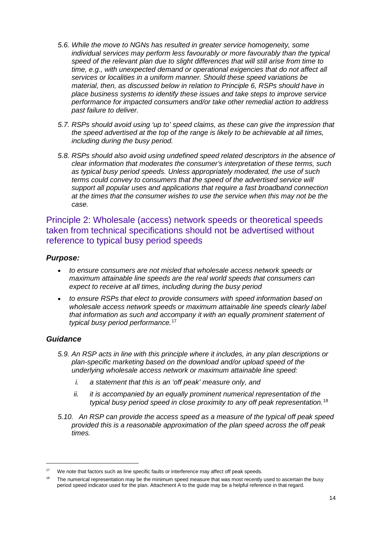- *5.6. While the move to NGNs has resulted in greater service homogeneity, some individual services may perform less favourably or more favourably than the typical speed of the relevant plan due to slight differences that will still arise from time to time, e.g., with unexpected demand or operational exigencies that do not affect all services or localities in a uniform manner. Should these speed variations be material, then, as discussed below in relation to Principle 6, RSPs should have in place business systems to identify these issues and take steps to improve service performance for impacted consumers and/or take other remedial action to address past failure to deliver.*
- *5.7. RSPs should avoid using 'up to' speed claims, as these can give the impression that the speed advertised at the top of the range is likely to be achievable at all times, including during the busy period.*
- *5.8. RSPs should also avoid using undefined speed related descriptors in the absence of clear information that moderates the consumer's interpretation of these terms, such as typical busy period speeds. Unless appropriately moderated, the use of such terms could convey to consumers that the speed of the advertised service will support all popular uses and applications that require a fast broadband connection at the times that the consumer wishes to use the service when this may not be the case.*

Principle 2: Wholesale (access) network speeds or theoretical speeds taken from technical specifications should not be advertised without reference to typical busy period speeds

#### *Purpose:*

- *to ensure consumers are not misled that wholesale access network speeds or maximum attainable line speeds are the real world speeds that consumers can expect to receive at all times, including during the busy period*
- *to ensure RSPs that elect to provide consumers with speed information based on wholesale access network speeds or maximum attainable line speeds clearly label that information as such and accompany it with an equally prominent statement of typical busy period performance.*[17](#page-14-0)

#### *Guidance*

- *5.9. An RSP acts in line with this principle where it includes, in any plan descriptions or plan-specific marketing based on the download and/or upload speed of the underlying wholesale access network or maximum attainable line speed:*
	- *i. a statement that this is an 'off peak' measure only, and*
	- *ii. it is accompanied by an equally prominent numerical representation of the typical busy period speed in close proximity to any off peak representation.*[18](#page-14-1)
- *5.10. An RSP can provide the access speed as a measure of the typical off peak speed provided this is a reasonable approximation of the plan speed across the off peak times.*

<span id="page-14-0"></span><sup>&</sup>lt;sup>17</sup> We note that factors such as line specific faults or interference may affect off peak speeds.

<span id="page-14-1"></span>The numerical representation may be the minimum speed measure that was most recently used to ascertain the busy period speed indicator used for the plan. Attachment A to the guide may be a helpful reference in that regard.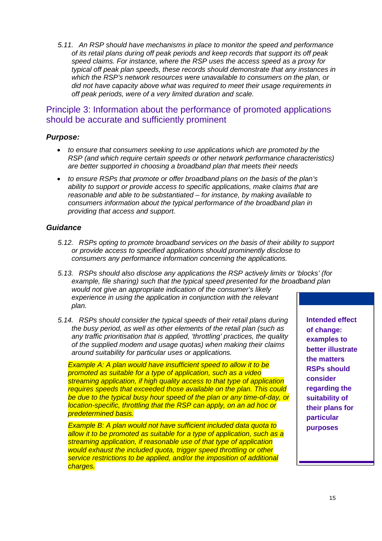*5.11. An RSP should have mechanisms in place to monitor the speed and performance of its retail plans during off peak periods and keep records that support its off peak speed claims. For instance, where the RSP uses the access speed as a proxy for typical off peak plan speeds, these records should demonstrate that any instances in which the RSP's network resources were unavailable to consumers on the plan, or did not have capacity above what was required to meet their usage requirements in off peak periods, were of a very limited duration and scale.* 

#### Principle 3: Information about the performance of promoted applications should be accurate and sufficiently prominent

#### *Purpose:*

- *to ensure that consumers seeking to use applications which are promoted by the RSP (and which require certain speeds or other network performance characteristics) are better supported in choosing a broadband plan that meets their needs*
- *to ensure RSPs that promote or offer broadband plans on the basis of the plan's ability to support or provide access to specific applications, make claims that are reasonable and able to be substantiated – for instance, by making available to consumers information about the typical performance of the broadband plan in providing that access and support.*

#### *Guidance*

- *5.12. RSPs opting to promote broadband services on the basis of their ability to support or provide access to specified applications should prominently disclose to consumers any performance information concerning the applications.*
- *5.13. RSPs should also disclose any applications the RSP actively limits or 'blocks' (for example, file sharing) such that the typical speed presented for the broadband plan would not give an appropriate indication of the consumer's likely experience in using the application in conjunction with the relevant plan.*
- *5.14. RSPs should consider the typical speeds of their retail plans during the busy period, as well as other elements of the retail plan (such as any traffic prioritisation that is applied, 'throttling' practices, the quality of the supplied modem and usage quotas) when making their claims around suitability for particular uses or applications.*

*Example A: A plan would have insufficient speed to allow it to be promoted as suitable for a type of application, such as a video streaming application, if high quality access to that type of application requires speeds that exceeded those available on the plan. This could be due to the typical busy hour speed of the plan or any time-of-day, or location-specific, throttling that the RSP can apply, on an ad hoc or predetermined basis.* 

*Example B: A plan would not have sufficient included data quota to allow it to be promoted as suitable for a type of application, such as a streaming application, if reasonable use of that type of application would exhaust the included quota, trigger speed throttling or other service restrictions to be applied, and/or the imposition of additional charges.*

**Intended effect of change: examples to better illustrate the matters RSPs should consider regarding the suitability of their plans for particular purposes**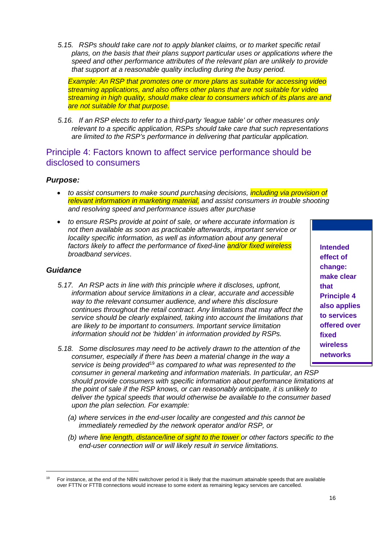*5.15. RSPs should take care not to apply blanket claims, or to market specific retail plans, on the basis that their plans support particular uses or applications where the speed and other performance attributes of the relevant plan are unlikely to provide that support at a reasonable quality including during the busy period.* 

*Example: An RSP that promotes one or more plans as suitable for accessing video streaming applications, and also offers other plans that are not suitable for video streaming in high quality, should make clear to consumers which of its plans are and are not suitable for that purpose.* 

*5.16. If an RSP elects to refer to a third-party 'league table' or other measures only relevant to a specific application, RSPs should take care that such representations are limited to the RSP's performance in delivering that particular application.*

#### Principle 4: Factors known to affect service performance should be disclosed to consumers

#### *Purpose:*

- *to assist consumers to make sound purchasing decisions, including via provision of relevant information in marketing material, and assist consumers in trouble shooting and resolving speed and performance issues after purchase*
- *to ensure RSPs provide at point of sale, or where accurate information is not then available as soon as practicable afterwards, important service or locality specific information, as well as information about any general factors likely to affect the performance of fixed-line and/or fixed wireless broadband services*.

#### *Guidance*

- *5.17. An RSP acts in line with this principle where it discloses, upfront, information about service limitations in a clear, accurate and accessible way to the relevant consumer audience, and where this disclosure continues throughout the retail contract. Any limitations that may affect the service should be clearly explained, taking into account the limitations that are likely to be important to consumers. Important service limitation information should not be 'hidden' in information provided by RSPs.*
- *5.18. Some disclosures may need to be actively drawn to the attention of the consumer, especially if there has been a material change in the way a service is being provided*[19](#page-16-0) *as compared to what was represented to the consumer in general marketing and information materials. In particular, an RSP should provide consumers with specific information about performance limitations at the point of sale if the RSP knows, or can reasonably anticipate, it is unlikely to deliver the typical speeds that would otherwise be available to the consumer based upon the plan selection. For example:*
	- *(a) where services in the end-user locality are congested and this cannot be immediately remedied by the network operator and/or RSP, or*
	- *(b) where line length, distance/line of sight to the tower or other factors specific to the end-user connection will or will likely result in service limitations.*

**Intended effect of change: make clear that Principle 4 also applies to services offered over fixed wireless networks** 

<span id="page-16-0"></span> <sup>19</sup> For instance, at the end of the NBN switchover period it is likely that the maximum attainable speeds that are available over FTTN or FTTB connections would increase to some extent as remaining legacy services are cancelled.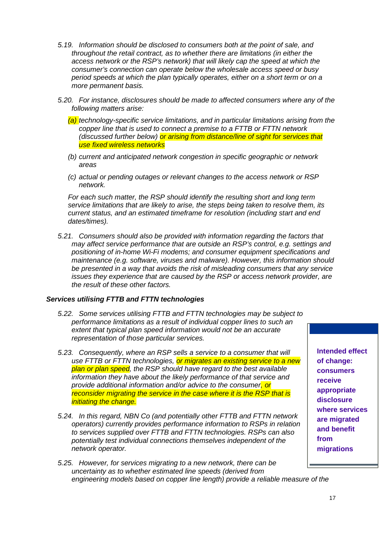- *5.19. Information should be disclosed to consumers both at the point of sale, and throughout the retail contract, as to whether there are limitations (in either the access network or the RSP's network) that will likely cap the speed at which the consumer's connection can operate below the wholesale access speed or busy period speeds at which the plan typically operates, either on a short term or on a more permanent basis.*
- *5.20. For instance, disclosures should be made to affected consumers where any of the following matters arise:*
	- *(a) technology-specific service limitations, and in particular limitations arising from the copper line that is used to connect a premise to a FTTB or FTTN network (discussed further below) or arising from distance/line of sight for services that use fixed wireless networks*
	- *(b) current and anticipated network congestion in specific geographic or network areas*
	- *(c) actual or pending outages or relevant changes to the access network or RSP network.*

*For each such matter, the RSP should identify the resulting short and long term service limitations that are likely to arise, the steps being taken to resolve them, its current status, and an estimated timeframe for resolution (including start and end dates/times).* 

*5.21. Consumers should also be provided with information regarding the factors that may affect service performance that are outside an RSP's control, e.g. settings and positioning of in-home Wi-Fi modems; and consumer equipment specifications and maintenance (e.g. software, viruses and malware). However, this information should be presented in a way that avoids the risk of misleading consumers that any service issues they experience that are caused by the RSP or access network provider, are the result of these other factors.* 

#### *Services utilising FTTB and FTTN technologies*

- *5.22. Some services utilising FTTB and FTTN technologies may be subject to performance limitations as a result of individual copper lines to such an extent that typical plan speed information would not be an accurate representation of those particular services.*
- *5.23. Consequently, where an RSP sells a service to a consumer that will use FTTB or FTTN technologies, or migrates an existing service to a new plan or plan speed, the RSP should have regard to the best available information they have about the likely performance of that service and provide additional information and/or advice to the consumer, or reconsider migrating the service in the case where it is the RSP that is initiating the change.*
- *5.24. In this regard, NBN Co (and potentially other FTTB and FTTN network operators) currently provides performance information to RSPs in relation to services supplied over FTTB and FTTN technologies. RSPs can also potentially test individual connections themselves independent of the network operator.*

*5.25. However, for services migrating to a new network, there can be uncertainty as to whether estimated line speeds (derived from engineering models based on copper line length) provide a reliable measure of the* 

**Intended effect of change: consumers receive appropriate disclosure where services are migrated and benefit from migrations**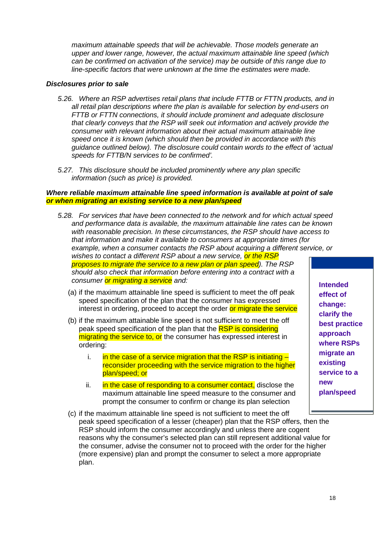*maximum attainable speeds that will be achievable. Those models generate an upper and lower range, however, the actual maximum attainable line speed (which can be confirmed on activation of the service) may be outside of this range due to line-specific factors that were unknown at the time the estimates were made.* 

#### *Disclosures prior to sale*

- *5.26. Where an RSP advertises retail plans that include FTTB or FTTN products, and in all retail plan descriptions where the plan is available for selection by end-users on FTTB or FTTN connections, it should include prominent and adequate disclosure that clearly conveys that the RSP will seek out information and actively provide the consumer with relevant information about their actual maximum attainable line speed once it is known (which should then be provided in accordance with this guidance outlined below). The disclosure could contain words to the effect of 'actual speeds for FTTB/N services to be confirmed'.*
- *5.27. This disclosure should be included prominently where any plan specific information (such as price) is provided.*

#### *Where reliable maximum attainable line speed information is available at point of sale or when migrating an existing service to a new plan/speed*

- *5.28. For services that have been connected to the network and for which actual speed and performance data is available, the maximum attainable line rates can be known with reasonable precision. In these circumstances, the RSP should have access to that information and make it available to consumers at appropriate times (for example, when a consumer contacts the RSP about acquiring a different service, or wishes to contact a different RSP about a new service, or the RSP proposes to migrate the service to a new plan or plan speed). The RSP should also check that information before entering into a contract with a consumer or migrating a service and:* 
	- (a) if the maximum attainable line speed is sufficient to meet the off peak speed specification of the plan that the consumer has expressed interest in ordering, proceed to accept the order or migrate the service
	- (b) if the maximum attainable line speed is not sufficient to meet the off peak speed specification of the plan that the RSP is considering migrating the service to, or the consumer has expressed interest in ordering:
		- i.  $\frac{1}{2}$  in the case of a service migration that the RSP is initiating  $\frac{1}{2}$ reconsider proceeding with the service migration to the higher plan/speed; or
		- ii. in the case of responding to a consumer contact, disclose the maximum attainable line speed measure to the consumer and prompt the consumer to confirm or change its plan selection
	- (c) if the maximum attainable line speed is not sufficient to meet the off peak speed specification of a lesser (cheaper) plan that the RSP offers, then the RSP should inform the consumer accordingly and unless there are cogent reasons why the consumer's selected plan can still represent additional value for the consumer, advise the consumer not to proceed with the order for the higher (more expensive) plan and prompt the consumer to select a more appropriate plan.

**Intended effect of change: clarify the best practice approach where RSPs migrate an existing service to a new plan/speed**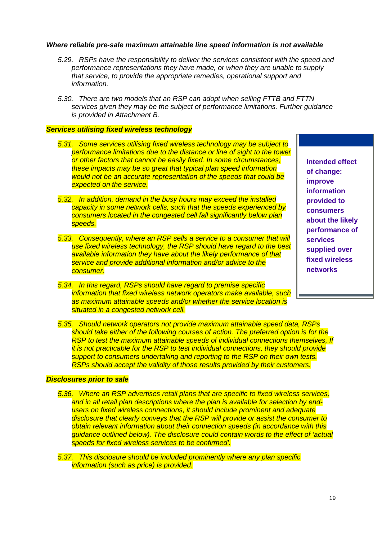#### *Where reliable pre-sale maximum attainable line speed information is not available*

- *5.29. RSPs have the responsibility to deliver the services consistent with the speed and performance representations they have made, or when they are unable to supply that service, to provide the appropriate remedies, operational support and information.*
- *5.30. There are two models that an RSP can adopt when selling FTTB and FTTN services given they may be the subject of performance limitations. Further guidance is provided in Attachment B.*

#### *Services utilising fixed wireless technology*

- *5.31. Some services utilising fixed wireless technology may be subject to performance limitations due to the distance or line of sight to the tower or other factors that cannot be easily fixed. In some circumstances, these impacts may be so great that typical plan speed information would not be an accurate representation of the speeds that could be expected on the service.*
- *5.32. In addition, demand in the busy hours may exceed the installed capacity in some network cells, such that the speeds experienced by consumers located in the congested cell fall significantly below plan speeds.*
- *5.33. Consequently, where an RSP sells a service to a consumer that will use fixed wireless technology, the RSP should have regard to the best available information they have about the likely performance of that service and provide additional information and/or advice to the consumer.*
- *5.34. In this regard, RSPs should have regard to premise specific information that fixed wireless network operators make available, such as maximum attainable speeds and/or whether the service location is situated in a congested network cell.*

**Intended effect of change: improve information provided to consumers about the likely performance of services supplied over fixed wireless networks**

*5.35. Should network operators not provide maximum attainable speed data, RSPs should take either of the following courses of action. The preferred option is for the RSP to test the maximum attainable speeds of individual connections themselves, If it is not practicable for the RSP to test individual connections, they should provide support to consumers undertaking and reporting to the RSP on their own tests. RSPs should accept the validity of those results provided by their customers.* 

#### *Disclosures prior to sale*

*5.36. Where an RSP advertises retail plans that are specific to fixed wireless services, and in all retail plan descriptions where the plan is available for selection by endusers on fixed wireless connections, it should include prominent and adequate disclosure that clearly conveys that the RSP will provide or assist the consumer to obtain relevant information about their connection speeds (in accordance with this guidance outlined below). The disclosure could contain words to the effect of 'actual speeds for fixed wireless services to be confirmed'.*

*5.37. This disclosure should be included prominently where any plan specific information (such as price) is provided.*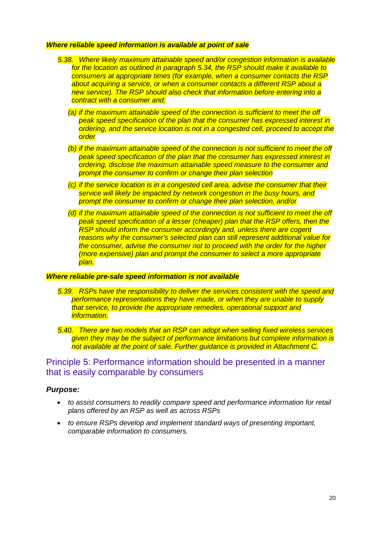#### *Where reliable speed information is available at point of sale*

- *5.38. Where likely maximum attainable speed and/or congestion information is available for the location as outlined in paragraph 5.34, the RSP should make it available to consumers at appropriate times (for example, when a consumer contacts the RSP about acquiring a service, or when a consumer contacts a different RSP about a new service). The RSP should also check that information before entering into a contract with a consumer and:* 
	- *(a) if the maximum attainable speed of the connection is sufficient to meet the off peak speed specification of the plan that the consumer has expressed interest in ordering, and the service location is not in a congested cell, proceed to accept the order*
	- *(b) if the maximum attainable speed of the connection is not sufficient to meet the off peak speed specification of the plan that the consumer has expressed interest in ordering, disclose the maximum attainable speed measure to the consumer and prompt the consumer to confirm or change their plan selection*
	- *(c) if the service location is in a congested cell area, advise the consumer that their service will likely be impacted by network congestion in the busy hours, and prompt the consumer to confirm or change their plan selection, and/or*
	- *(d) if the maximum attainable speed of the connection is not sufficient to meet the off peak speed specification of a lesser (cheaper) plan that the RSP offers, then the RSP should inform the consumer accordingly and, unless there are cogent reasons why the consumer's selected plan can still represent additional value for the consumer, advise the consumer not to proceed with the order for the higher (more expensive) plan and prompt the consumer to select a more appropriate plan.*

#### *Where reliable pre-sale speed information is not available*

- *5.39. RSPs have the responsibility to deliver the services consistent with the speed and performance representations they have made, or when they are unable to supply that service, to provide the appropriate remedies, operational support and information.*
- *5.40. There are two models that an RSP can adopt when selling fixed wireless services given they may be the subject of performance limitations but complete information is not available at the point of sale. Further guidance is provided in Attachment C.*

#### Principle 5: Performance information should be presented in a manner that is easily comparable by consumers

#### *Purpose:*

- *to assist consumers to readily compare speed and performance information for retail plans offered by an RSP as well as across RSPs*
- *to ensure RSPs develop and implement standard ways of presenting important, comparable information to consumers.*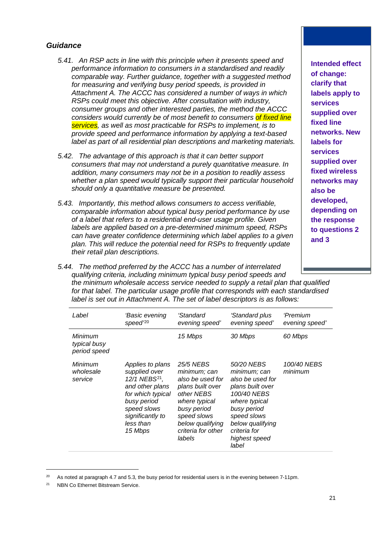#### *Guidance*

- *5.41. An RSP acts in line with this principle when it presents speed and performance information to consumers in a standardised and readily comparable way. Further guidance, together with a suggested method for measuring and verifying busy period speeds, is provided in Attachment A. The ACCC has considered a number of ways in which RSPs could meet this objective. After consultation with industry, consumer groups and other interested parties, the method the ACCC considers would currently be of most benefit to consumers of fixed line services, as well as most practicable for RSPs to implement, is to provide speed and performance information by applying a text-based label as part of all residential plan descriptions and marketing materials.*
- *5.42. The advantage of this approach is that it can better support consumers that may not understand a purely quantitative measure. In addition, many consumers may not be in a position to readily assess whether a plan speed would typically support their particular household should only a quantitative measure be presented.*
- *5.43. Importantly, this method allows consumers to access verifiable, comparable information about typical busy period performance by use of a label that refers to a residential end-user usage profile. Given labels are applied based on a pre-determined minimum speed, RSPs can have greater confidence determining which label applies to a given plan. This will reduce the potential need for RSPs to frequently update their retail plan descriptions.*

**Intended effect of change: clarify that labels apply to services supplied over fixed line networks. New labels for services supplied over fixed wireless networks may also be developed, depending on the response to questions 2 and 3**

*5.44. The method preferred by the ACCC has a number of interrelated qualifying criteria, including minimum typical busy period speeds and the minimum wholesale access service needed to supply a retail plan that qualified for that label. The particular usage profile that corresponds with each standardised label is set out in Attachment A. The set of label descriptors is as follows:*

| Label                                   | 'Basic evening<br>speed $20$                                                                                                                                                     | <i>'Standard</i><br>evening speed'                                                                                                                                                 | 'Standard plus<br>evening speed'                                                                                                                                                               | 'Premium<br>evening speed' |
|-----------------------------------------|----------------------------------------------------------------------------------------------------------------------------------------------------------------------------------|------------------------------------------------------------------------------------------------------------------------------------------------------------------------------------|------------------------------------------------------------------------------------------------------------------------------------------------------------------------------------------------|----------------------------|
| Minimum<br>typical busy<br>period speed |                                                                                                                                                                                  | 15 Mbps                                                                                                                                                                            | 30 Mbps                                                                                                                                                                                        | 60 Mbps                    |
| Minimum<br>wholesale<br>service         | Applies to plans<br>supplied over<br>12/1 NEBS <sup>21</sup> ,<br>and other plans<br>for which typical<br>busy period<br>speed slows<br>significantly to<br>less than<br>15 Mbps | 25/5 NEBS<br>minimum; can<br>also be used for<br>plans built over<br>other NEBS<br>where typical<br>busy period<br>speed slows<br>below qualifying<br>criteria for other<br>labels | 50/20 NEBS<br>minimum; can<br>also be used for<br>plans built over<br>100/40 NEBS<br>where typical<br>busy period<br>speed slows<br>below qualifying<br>criteria for<br>highest speed<br>label | 100/40 NEBS<br>minimum     |

<span id="page-21-0"></span> $20$  As noted at paragraph 4.7 and 5.3, the busy period for residential users is in the evening between 7-11pm.

<span id="page-21-1"></span><sup>&</sup>lt;sup>21</sup> NBN Co Ethernet Bitstream Service.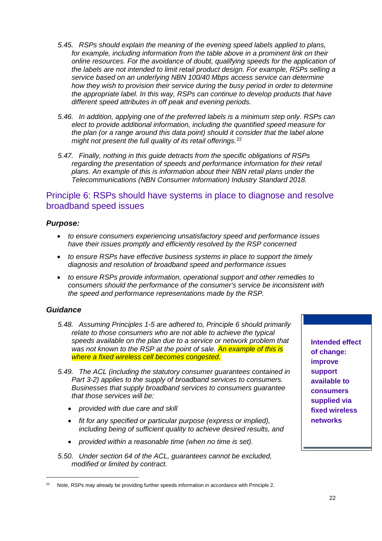- *5.45. RSPs should explain the meaning of the evening speed labels applied to plans,*  for example, including information from the table above in a prominent link on their *online resources. For the avoidance of doubt, qualifying speeds for the application of the labels are not intended to limit retail product design. For example, RSPs selling a service based on an underlying NBN 100/40 Mbps access service can determine how they wish to provision their service during the busy period in order to determine the appropriate label. In this way, RSPs can continue to develop products that have different speed attributes in off peak and evening periods.*
- *5.46. In addition, applying one of the preferred labels is a minimum step only. RSPs can elect to provide additional information, including the quantified speed measure for the plan (or a range around this data point) should it consider that the label alone might not present the full quality of its retail offerings.*[22](#page-22-0)
- *5.47. Finally, nothing in this guide detracts from the specific obligations of RSPs regarding the presentation of speeds and performance information for their retail plans. An example of this is information about their NBN retail plans under the Telecommunications (NBN Consumer Information) Industry Standard 2018.*

#### Principle 6: RSPs should have systems in place to diagnose and resolve broadband speed issues

#### *Purpose:*

- *to ensure consumers experiencing unsatisfactory speed and performance issues have their issues promptly and efficiently resolved by the RSP concerned*
- *to ensure RSPs have effective business systems in place to support the timely diagnosis and resolution of broadband speed and performance issues*
- *to ensure RSPs provide information, operational support and other remedies to consumers should the performance of the consumer's service be inconsistent with the speed and performance representations made by the RSP.*

#### *Guidance*

- *5.48. Assuming Principles 1-5 are adhered to, Principle 6 should primarily relate to those consumers who are not able to achieve the typical speeds available on the plan due to a service or network problem that was not known to the RSP at the point of sale. An example of this is where a fixed wireless cell becomes congested.*
- *5.49. The ACL (including the statutory consumer guarantees contained in Part 3-2) applies to the supply of broadband services to consumers. Businesses that supply broadband services to consumers guarantee that those services will be:*
	- *provided with due care and skill*
	- *fit for any specified or particular purpose (express or implied), including being of sufficient quality to achieve desired results, and*
	- *provided within a reasonable time (when no time is set).*
- *5.50. Under section 64 of the ACL, guarantees cannot be excluded, modified or limited by contract.*

**Intended effect of change: improve support available to consumers supplied via fixed wireless networks**

<span id="page-22-0"></span><sup>&</sup>lt;sup>22</sup> Note, RSPs may already be providing further speeds information in accordance with Principle 2.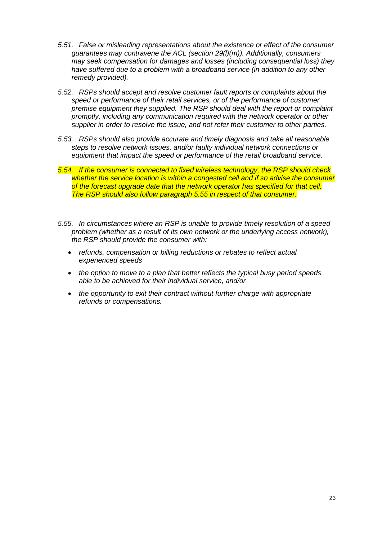- *5.51. False or misleading representations about the existence or effect of the consumer guarantees may contravene the ACL (section 29(l)(m)). Additionally, consumers may seek compensation for damages and losses (including consequential loss) they have suffered due to a problem with a broadband service (in addition to any other remedy provided).*
- *5.52. RSPs should accept and resolve customer fault reports or complaints about the speed or performance of their retail services, or of the performance of customer premise equipment they supplied. The RSP should deal with the report or complaint promptly, including any communication required with the network operator or other supplier in order to resolve the issue, and not refer their customer to other parties.*
- *5.53. RSPs should also provide accurate and timely diagnosis and take all reasonable steps to resolve network issues, and/or faulty individual network connections or equipment that impact the speed or performance of the retail broadband service.*
- *5.54. If the consumer is connected to fixed wireless technology, the RSP should check whether the service location is within a congested cell and if so advise the consumer of the forecast upgrade date that the network operator has specified for that cell. The RSP should also follow paragraph 5.55 in respect of that consumer.*
- *5.55. In circumstances where an RSP is unable to provide timely resolution of a speed problem (whether as a result of its own network or the underlying access network), the RSP should provide the consumer with:*
	- *refunds, compensation or billing reductions or rebates to reflect actual experienced speeds*
	- *the option to move to a plan that better reflects the typical busy period speeds able to be achieved for their individual service, and/or*
	- *the opportunity to exit their contract without further charge with appropriate refunds or compensations.*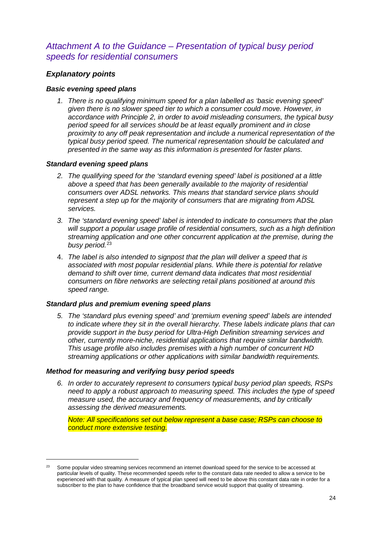### *Attachment A to the Guidance – Presentation of typical busy period speeds for residential consumers*

#### *Explanatory points*

#### *Basic evening speed plans*

*1. There is no qualifying minimum speed for a plan labelled as 'basic evening speed' given there is no slower speed tier to which a consumer could move. However, in accordance with Principle 2, in order to avoid misleading consumers, the typical busy period speed for all services should be at least equally prominent and in close proximity to any off peak representation and include a numerical representation of the typical busy period speed. The numerical representation should be calculated and presented in the same way as this information is presented for faster plans.* 

#### *Standard evening speed plans*

- *2. The qualifying speed for the 'standard evening speed' label is positioned at a little above a speed that has been generally available to the majority of residential consumers over ADSL networks. This means that standard service plans should represent a step up for the majority of consumers that are migrating from ADSL services.*
- *3. The 'standard evening speed' label is intended to indicate to consumers that the plan will support a popular usage profile of residential consumers, such as a high definition streaming application and one other concurrent application at the premise, during the busy period.*[23](#page-24-0)
- 4. *The label is also intended to signpost that the plan will deliver a speed that is associated with most popular residential plans. While there is potential for relative demand to shift over time, current demand data indicates that most residential consumers on fibre networks are selecting retail plans positioned at around this speed range.*

#### *Standard plus and premium evening speed plans*

*5. The 'standard plus evening speed' and 'premium evening speed' labels are intended to indicate where they sit in the overall hierarchy. These labels indicate plans that can provide support in the busy period for Ultra-High Definition streaming services and other, currently more-niche, residential applications that require similar bandwidth. This usage profile also includes premises with a high number of concurrent HD streaming applications or other applications with similar bandwidth requirements.*

#### *Method for measuring and verifying busy period speeds*

*6. In order to accurately represent to consumers typical busy period plan speeds, RSPs need to apply a robust approach to measuring speed. This includes the type of speed measure used, the accuracy and frequency of measurements, and by critically assessing the derived measurements.* 

*Note: All specifications set out below represent a base case; RSPs can choose to conduct more extensive testing.*

<span id="page-24-0"></span><sup>&</sup>lt;sup>23</sup> Some popular video streaming services recommend an internet download speed for the service to be accessed at particular levels of quality. These recommended speeds refer to the constant data rate needed to allow a service to be experienced with that quality. A measure of typical plan speed will need to be above this constant data rate in order for a subscriber to the plan to have confidence that the broadband service would support that quality of streaming.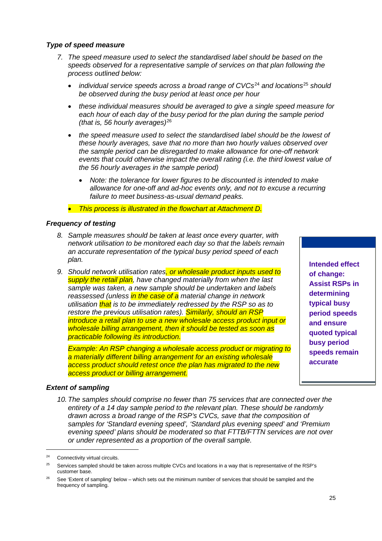#### *Type of speed measure*

- *7. The speed measure used to select the standardised label should be based on the speeds observed for a representative sample of services on that plan following the process outlined below:* 
	- *individual service speeds across a broad range of CVCs*[24](#page-25-0) *and locations*[25](#page-25-1) *should be observed during the busy period at least once per hour*
	- *these individual measures should be averaged to give a single speed measure for each hour of each day of the busy period for the plan during the sample period (that is, 56 hourly averages)*[26](#page-25-2)
	- *the speed measure used to select the standardised label should be the lowest of these hourly averages, save that no more than two hourly values observed over the sample period can be disregarded to make allowance for one-off network events that could otherwise impact the overall rating (i.e. the third lowest value of the 56 hourly averages in the sample period)* 
		- *Note: the tolerance for lower figures to be discounted is intended to make allowance for one-off and ad-hoc events only, and not to excuse a recurring failure to meet business-as-usual demand peaks.*
	- *This process is illustrated in the flowchart at Attachment D.*

#### *Frequency of testing*

- *8. Sample measures should be taken at least once every quarter, with network utilisation to be monitored each day so that the labels remain an accurate representation of the typical busy period speed of each plan.*
- *9. Should network utilisation rates, or wholesale product inputs used to supply the retail plan, have changed materially from when the last sample was taken, a new sample should be undertaken and labels reassessed (unless in the case of a material change in network utilisation that is to be immediately redressed by the RSP so as to restore the previous utilisation rates). Similarly, should an RSP introduce a retail plan to use a new wholesale access product input or wholesale billing arrangement, then it should be tested as soon as practicable following its introduction.*

*Example: An RSP changing a wholesale access product or migrating to a materially different billing arrangement for an existing wholesale access product should retest once the plan has migrated to the new access product or billing arrangement.*

#### *Extent of sampling*

*10.The samples should comprise no fewer than 75 services that are connected over the entirety of a 14 day sample period to the relevant plan. These should be randomly drawn across a broad range of the RSP's CVCs, save that the composition of samples for 'Standard evening speed', 'Standard plus evening speed' and 'Premium evening speed' plans should be moderated so that FTTB/FTTN services are not over or under represented as a proportion of the overall sample.* 

**Intended effect of change: Assist RSPs in determining typical busy period speeds and ensure quoted typical busy period speeds remain accurate**

<span id="page-25-0"></span> <sup>24</sup> Connectivity virtual circuits.

<span id="page-25-1"></span><sup>&</sup>lt;sup>25</sup> Services sampled should be taken across multiple CVCs and locations in a way that is representative of the RSP's customer base.

<span id="page-25-2"></span><sup>&</sup>lt;sup>26</sup> See 'Extent of sampling' below – which sets out the minimum number of services that should be sampled and the frequency of sampling.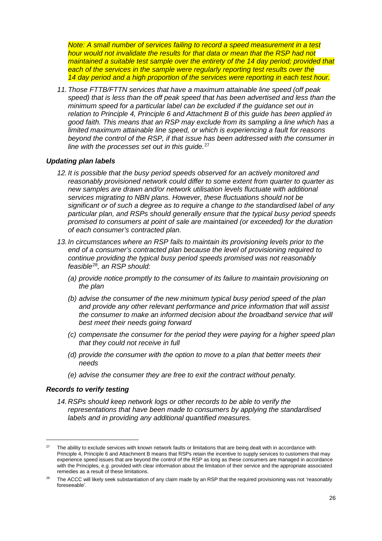*Note: A small number of services failing to record a speed measurement in a test hour would not invalidate the results for that data or mean that the RSP had not maintained a suitable test sample over the entirety of the 14 day period; provided that each of the services in the sample were regularly reporting test results over the 14 day period and a high proportion of the services were reporting in each test hour.*

*11.Those FTTB/FTTN services that have a maximum attainable line speed (off peak speed) that is less than the off peak speed that has been advertised and less than the minimum speed for a particular label can be excluded if the guidance set out in relation to Principle 4, Principle 6 and Attachment B of this guide has been applied in good faith. This means that an RSP may exclude from its sampling a line which has a limited maximum attainable line speed, or which is experiencing a fault for reasons beyond the control of the RSP, if that issue has been addressed with the consumer in line with the processes set out in this guide.*[27](#page-26-0)

#### *Updating plan labels*

- *12. It is possible that the busy period speeds observed for an actively monitored and reasonably provisioned network could differ to some extent from quarter to quarter as new samples are drawn and/or network utilisation levels fluctuate with additional services migrating to NBN plans. However, these fluctuations should not be significant or of such a degree as to require a change to the standardised label of any particular plan, and RSPs should generally ensure that the typical busy period speeds promised to consumers at point of sale are maintained (or exceeded) for the duration of each consumer's contracted plan.*
- *13. In circumstances where an RSP fails to maintain its provisioning levels prior to the end of a consumer's contracted plan because the level of provisioning required to continue providing the typical busy period speeds promised was not reasonably feasible*[28](#page-26-1)*, an RSP should:* 
	- *(a) provide notice promptly to the consumer of its failure to maintain provisioning on the plan*
	- *(b) advise the consumer of the new minimum typical busy period speed of the plan and provide any other relevant performance and price information that will assist the consumer to make an informed decision about the broadband service that will best meet their needs going forward*
	- *(c) compensate the consumer for the period they were paying for a higher speed plan that they could not receive in full*
	- *(d) provide the consumer with the option to move to a plan that better meets their needs*
	- *(e) advise the consumer they are free to exit the contract without penalty.*

#### *Records to verify testing*

*14. RSPs should keep network logs or other records to be able to verify the representations that have been made to consumers by applying the standardised labels and in providing any additional quantified measures.*

<span id="page-26-0"></span><sup>&</sup>lt;sup>27</sup> The ability to exclude services with known network faults or limitations that are being dealt with in accordance with Principle 4, Principle 6 and Attachment B means that RSPs retain the incentive to supply services to customers that may experience speed issues that are beyond the control of the RSP as long as these consumers are managed in accordance with the Principles, e.g. provided with clear information about the limitation of their service and the appropriate associated remedies as a result of these limitations.

<span id="page-26-1"></span>The ACCC will likely seek substantiation of any claim made by an RSP that the required provisioning was not 'reasonably foreseeable'.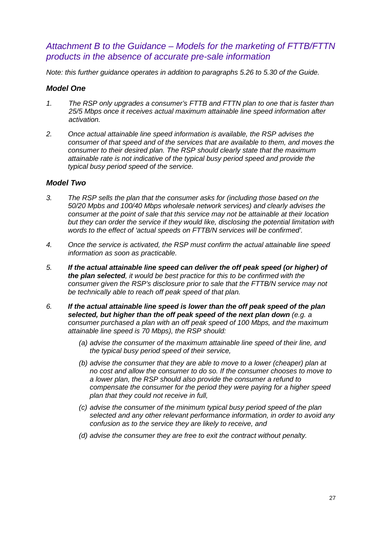#### *Attachment B to the Guidance – Models for the marketing of FTTB/FTTN products in the absence of accurate pre-sale information*

*Note: this further guidance operates in addition to paragraphs 5.26 to 5.30 of the Guide.*

#### *Model One*

- *1. The RSP only upgrades a consumer's FTTB and FTTN plan to one that is faster than 25/5 Mbps once it receives actual maximum attainable line speed information after activation.*
- *2. Once actual attainable line speed information is available, the RSP advises the consumer of that speed and of the services that are available to them, and moves the consumer to their desired plan. The RSP should clearly state that the maximum attainable rate is not indicative of the typical busy period speed and provide the typical busy period speed of the service.*

#### *Model Two*

- *3. The RSP sells the plan that the consumer asks for (including those based on the 50/20 Mpbs and 100/40 Mbps wholesale network services) and clearly advises the consumer at the point of sale that this service may not be attainable at their location but they can order the service if they would like, disclosing the potential limitation with words to the effect of 'actual speeds on FTTB/N services will be confirmed'.*
- *4. Once the service is activated, the RSP must confirm the actual attainable line speed information as soon as practicable.*
- *5. If the actual attainable line speed can deliver the off peak speed (or higher) of the plan selected, it would be best practice for this to be confirmed with the consumer given the RSP's disclosure prior to sale that the FTTB/N service may not be technically able to reach off peak speed of that plan.*
- *6. If the actual attainable line speed is lower than the off peak speed of the plan selected, but higher than the off peak speed of the next plan down (e.g. a consumer purchased a plan with an off peak speed of 100 Mbps, and the maximum attainable line speed is 70 Mbps), the RSP should:*
	- *(a) advise the consumer of the maximum attainable line speed of their line, and the typical busy period speed of their service,*
	- *(b) advise the consumer that they are able to move to a lower (cheaper) plan at no cost and allow the consumer to do so. If the consumer chooses to move to a lower plan, the RSP should also provide the consumer a refund to compensate the consumer for the period they were paying for a higher speed plan that they could not receive in full,*
	- *(c) advise the consumer of the minimum typical busy period speed of the plan selected and any other relevant performance information, in order to avoid any confusion as to the service they are likely to receive, and*
	- *(d) advise the consumer they are free to exit the contract without penalty.*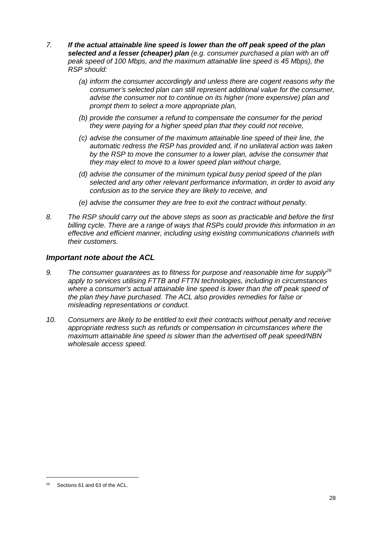- *7. If the actual attainable line speed is lower than the off peak speed of the plan selected and a lesser (cheaper) plan (e.g. consumer purchased a plan with an off peak speed of 100 Mbps, and the maximum attainable line speed is 45 Mbps), the RSP should:*
	- *(a) inform the consumer accordingly and unless there are cogent reasons why the consumer's selected plan can still represent additional value for the consumer, advise the consumer not to continue on its higher (more expensive) plan and prompt them to select a more appropriate plan,*
	- *(b) provide the consumer a refund to compensate the consumer for the period they were paying for a higher speed plan that they could not receive,*
	- *(c) advise the consumer of the maximum attainable line speed of their line, the automatic redress the RSP has provided and, if no unilateral action was taken by the RSP to move the consumer to a lower plan, advise the consumer that they may elect to move to a lower speed plan without charge,*
	- *(d) advise the consumer of the minimum typical busy period speed of the plan selected and any other relevant performance information, in order to avoid any confusion as to the service they are likely to receive, and*
	- *(e) advise the consumer they are free to exit the contract without penalty.*
- *8. The RSP should carry out the above steps as soon as practicable and before the first billing cycle. There are a range of ways that RSPs could provide this information in an effective and efficient manner, including using existing communications channels with their customers.*

#### *Important note about the ACL*

- *9. The consumer guarantees as to fitness for purpose and reasonable time for supply[29](#page-28-0) apply to services utilising FTTB and FTTN technologies, including in circumstances*  where a consumer's actual attainable line speed is lower than the off peak speed of *the plan they have purchased. The ACL also provides remedies for false or misleading representations or conduct.*
- *10. Consumers are likely to be entitled to exit their contracts without penalty and receive appropriate redress such as refunds or compensation in circumstances where the maximum attainable line speed is slower than the advertised off peak speed/NBN wholesale access speed.*

<span id="page-28-0"></span> <sup>29</sup> Sections 61 and 63 of the ACL.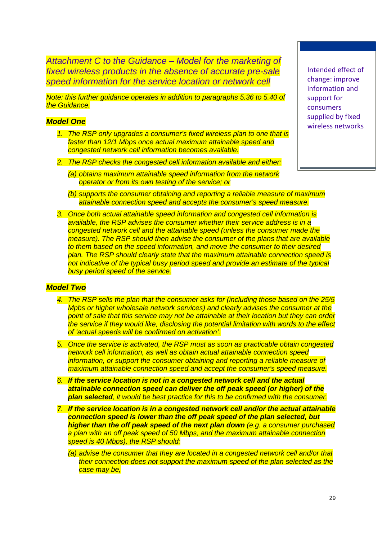*Attachment C to the Guidance – Model for the marketing of fixed wireless products in the absence of accurate pre-sale speed information for the service location or network cell*

*Note: this further guidance operates in addition to paragraphs 5.36 to 5.40 of the Guidance.*

#### *Model One*

- *1. The RSP only upgrades a consumer's fixed wireless plan to one that is faster than 12/1 Mbps once actual maximum attainable speed and congested network cell information becomes available.*
- *2. The RSP checks the congested cell information available and either:* 
	- *(a) obtains maximum attainable speed information from the network operator or from its own testing of the service; or*
	- *(b) supports the consumer obtaining and reporting a reliable measure of maximum attainable connection speed and accepts the consumer's speed measure.*
- *3. Once both actual attainable speed information and congested cell information is available, the RSP advises the consumer whether their service address is in a congested network cell and the attainable speed (unless the consumer made the measure). The RSP should then advise the consumer of the plans that are available to them based on the speed information, and move the consumer to their desired plan. The RSP should clearly state that the maximum attainable connection speed is*  not indicative of the typical busy period speed and provide an estimate of the typical *busy period speed of the service.*

#### *Model Two*

- *4. The RSP sells the plan that the consumer asks for (including those based on the 25/5 Mpbs or higher wholesale network services) and clearly advises the consumer at the point of sale that this service may not be attainable at their location but they can order the service if they would like, disclosing the potential limitation with words to the effect of 'actual speeds will be confirmed on activation'.*
- *5. Once the service is activated, the RSP must as soon as practicable obtain congested network cell information, as well as obtain actual attainable connection speed information, or support the consumer obtaining and reporting a reliable measure of maximum attainable connection speed and accept the consumer's speed measure.*
- *6. If the service location is not in a congested network cell and the actual attainable connection speed can deliver the off peak speed (or higher) of the plan selected, it would be best practice for this to be confirmed with the consumer.*
- *7. If the service location is in a congested network cell and/or the actual attainable connection speed is lower than the off peak speed of the plan selected, but higher than the off peak speed of the next plan down (e.g. a consumer purchased a plan with an off peak speed of 50 Mbps, and the maximum attainable connection speed is 40 Mbps), the RSP should:*
	- *(a) advise the consumer that they are located in a congested network cell and/or that their connection does not support the maximum speed of the plan selected as the case may be,*

Intended effect of change: improve information and support for consumers supplied by fixed wireless networks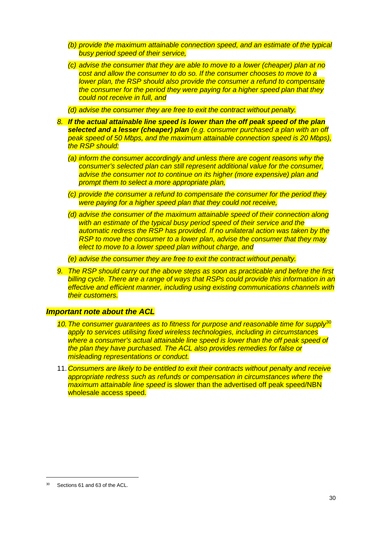- *(b) provide the maximum attainable connection speed, and an estimate of the typical busy period speed of their service,*
- *(c) advise the consumer that they are able to move to a lower (cheaper) plan at no cost and allow the consumer to do so. If the consumer chooses to move to a lower plan, the RSP should also provide the consumer a refund to compensate the consumer for the period they were paying for a higher speed plan that they could not receive in full, and*

*(d) advise the consumer they are free to exit the contract without penalty.*

- *8. If the actual attainable line speed is lower than the off peak speed of the plan selected and a lesser (cheaper) plan (e.g. consumer purchased a plan with an off peak speed of 50 Mbps, and the maximum attainable connection speed is 20 Mbps), the RSP should:*
	- *(a) inform the consumer accordingly and unless there are cogent reasons why the consumer's selected plan can still represent additional value for the consumer, advise the consumer not to continue on its higher (more expensive) plan and prompt them to select a more appropriate plan,*
	- *(c) provide the consumer a refund to compensate the consumer for the period they were paying for a higher speed plan that they could not receive,*
	- *(d) advise the consumer of the maximum attainable speed of their connection along with an estimate of the typical busy period speed of their service and the automatic redress the RSP has provided. If no unilateral action was taken by the RSP to move the consumer to a lower plan, advise the consumer that they may elect to move to a lower speed plan without charge, and*

*(e) advise the consumer they are free to exit the contract without penalty.*

*9. The RSP should carry out the above steps as soon as practicable and before the first billing cycle. There are a range of ways that RSPs could provide this information in an effective and efficient manner, including using existing communications channels with their customers.*

#### *Important note about the ACL*

- *10.The consumer guarantees as to fitness for purpose and reasonable time for supply*[30](#page-30-0) *apply to services utilising fixed wireless technologies, including in circumstances where a consumer's actual attainable line speed is lower than the off peak speed of the plan they have purchased. The ACL also provides remedies for false or misleading representations or conduct.*
- 11. *Consumers are likely to be entitled to exit their contracts without penalty and receive appropriate redress such as refunds or compensation in circumstances where the maximum attainable line speed* is slower than the advertised off peak speed/NBN wholesale access speed.

<span id="page-30-0"></span> <sup>30</sup> Sections 61 and 63 of the ACL.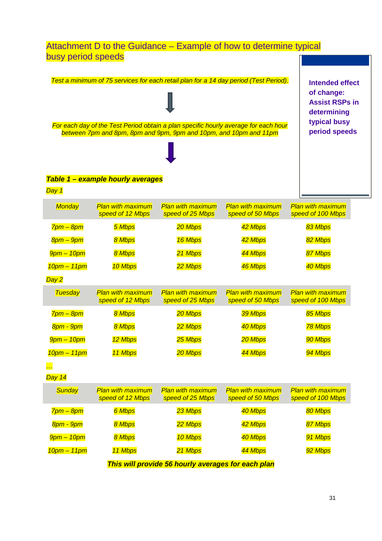### Attachment D to the Guidance – Example of how to determine typical busy period speeds

|                   |                                   |                                                                   | Test a minimum of 75 services for each retail plan for a 14 day period (Test Period). | <b>Intended effect</b>   |
|-------------------|-----------------------------------|-------------------------------------------------------------------|---------------------------------------------------------------------------------------|--------------------------|
|                   |                                   |                                                                   |                                                                                       | of change:               |
|                   |                                   |                                                                   |                                                                                       | <b>Assist RSPs in</b>    |
|                   |                                   |                                                                   |                                                                                       | determining              |
|                   |                                   |                                                                   |                                                                                       | typical busy             |
|                   |                                   | between 7pm and 8pm, 8pm and 9pm, 9pm and 10pm, and 10pm and 11pm | For each day of the Test Period obtain a plan specific hourly average for each hour   | period speeds            |
|                   |                                   |                                                                   |                                                                                       |                          |
|                   |                                   |                                                                   |                                                                                       |                          |
|                   |                                   |                                                                   |                                                                                       |                          |
|                   |                                   |                                                                   |                                                                                       |                          |
|                   | Table 1 - example hourly averages |                                                                   |                                                                                       |                          |
| Day 1             |                                   |                                                                   |                                                                                       |                          |
| <b>Monday</b>     | <b>Plan with maximum</b>          | <b>Plan with maximum</b>                                          | <b>Plan with maximum</b>                                                              | <b>Plan with maximum</b> |
|                   | speed of 12 Mbps                  | speed of 25 Mbps                                                  | speed of 50 Mbps                                                                      | speed of 100 Mbps        |
| 7pm – 8pm         | 5 Mbps                            | 20 Mbps                                                           | 42 Mbps                                                                               | 83 Mbps                  |
| 8pm – 9pm         | 8 Mbps                            | 16 Mbps                                                           | 42 Mbps                                                                               | 82 Mbps                  |
| $9$ pm $-10$ pm   | 8 Mbps                            | 21 Mbps                                                           | 44 Mbps                                                                               | 87 Mbps                  |
| $10pm - 11pm$     | 10 Mbps                           | 22 Mbps                                                           | 46 Mbps                                                                               | 40 Mbps                  |
| Day 2             |                                   |                                                                   |                                                                                       |                          |
| <b>Tuesday</b>    | <b>Plan with maximum</b>          | <b>Plan with maximum</b>                                          | <b>Plan with maximum</b>                                                              | <b>Plan with maximum</b> |
|                   | speed of 12 Mbps                  | speed of 25 Mbps                                                  | speed of 50 Mbps                                                                      | speed of 100 Mbps        |
| $7pm - 8pm$       | 8 Mbps                            | 20 Mbps                                                           | 39 Mbps                                                                               | 85 Mbps                  |
| 8pm - 9pm         | 8 Mbps                            | 22 Mbps                                                           | 40 Mbps                                                                               | 78 Mbps                  |
| $9$ pm – 10pm     | 12 Mbps                           | 25 Mbps                                                           | 20 Mbps                                                                               | 90 Mbps                  |
| 10pm - 11pm       | 11 Mbps                           | 20 Mbps                                                           | 44 Mbps                                                                               | 94 Mbps                  |
| $\cdot$ $\cdot$   |                                   |                                                                   |                                                                                       |                          |
| Day 14            |                                   |                                                                   |                                                                                       |                          |
| <b>Sunday</b>     | <b>Plan with maximum</b>          | <b>Plan with maximum</b>                                          | <b>Plan with maximum</b>                                                              | <b>Plan with maximum</b> |
|                   | speed of 12 Mbps                  | speed of 25 Mbps                                                  | speed of 50 Mbps                                                                      | speed of 100 Mbps        |
| 7pm – 8pm         | 6 Mbps                            | 23 Mbps                                                           | 40 Mbps                                                                               | 80 Mbps                  |
| 8pm - 9pm         | 8 Mbps                            | 22 Mbps                                                           | 42 Mbps                                                                               | 87 Mbps                  |
| <b>9pm – 10pm</b> | 8 Mbps                            | 10 Mbps                                                           | 40 Mbps                                                                               | 91 Mbps                  |
| $10$ pm – 11pm    | 11 Mbps                           | 21 Mbps                                                           | 44 Mbps                                                                               | 92 Mbps                  |
|                   |                                   | This will provide 56 hourly averages for each plan                |                                                                                       |                          |